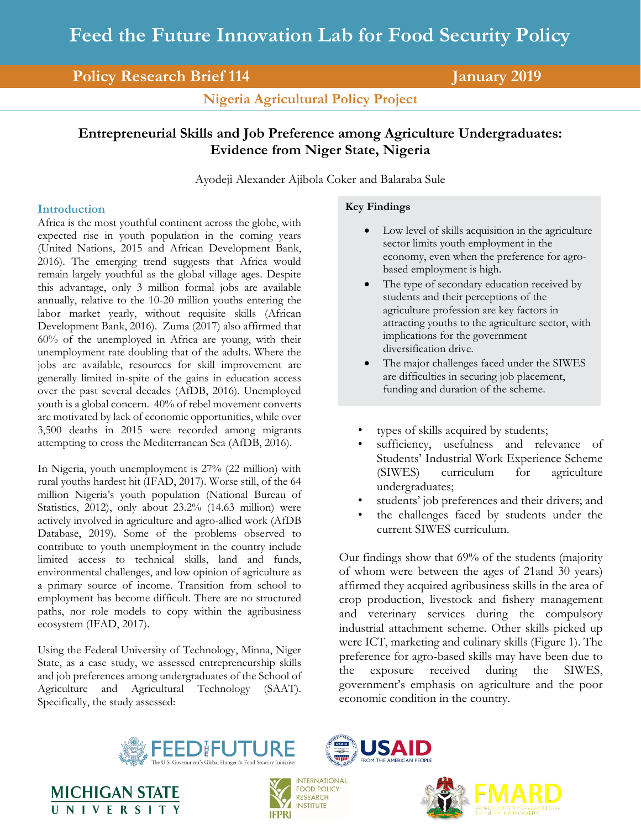**Policy Research Brief 114 January 2019**

**Nigeria Agricultural Policy Project**

# **Entrepreneurial Skills and Job Preference among Agriculture Undergraduates: Evidence from Niger State, Nigeria**

Ayodeji Alexander Ajibola Coker and Balaraba Sule

## **Introduction**

Africa is the most youthful continent across the globe, with expected rise in youth population in the coming years (United Nations, 2015 and African Development Bank, 2016). The emerging trend suggests that Africa would remain largely youthful as the global village ages. Despite this advantage, only 3 million formal jobs are available annually, relative to the 10-20 million youths entering the labor market yearly, without requisite skills (African Development Bank, 2016). Zuma (2017) also affirmed that 60% of the unemployed in Africa are young, with their unemployment rate doubling that of the adults. Where the jobs are available, resources for skill improvement are generally limited in-spite of the gains in education access over the past several decades (AfDB, 2016). Unemployed youth is a global concern. 40% of rebel movement converts are motivated by lack of economic opportunities, while over 3,500 deaths in 2015 were recorded among migrants attempting to cross the Mediterranean Sea (AfDB, 2016).

In Nigeria, youth unemployment is 27% (22 million) with rural youths hardest hit (IFAD, 2017). Worse still, of the 64 million Nigeria's youth population (National Bureau of Statistics, 2012), only about 23.2% (14.63 million) were actively involved in agriculture and agro-allied work (AfDB Database, 2019). Some of the problems observed to contribute to youth unemployment in the country include limited access to technical skills, land and funds, environmental challenges, and low opinion of agriculture as a primary source of income. Transition from school to employment has become difficult. There are no structured paths, nor role models to copy within the agribusiness ecosystem (IFAD, 2017).

Using the Federal University of Technology, Minna, Niger State, as a case study, we assessed entrepreneurship skills and job preferences among undergraduates of the School of Agriculture and Agricultural Technology (SAAT). Specifically, the study assessed:

#### **Key Findings**

- Low level of skills acquisition in the agriculture sector limits youth employment in the economy, even when the preference for agrobased employment is high.
- The type of secondary education received by students and their perceptions of the agriculture profession are key factors in attracting youths to the agriculture sector, with implications for the government diversification drive.
- The major challenges faced under the SIWES are difficulties in securing job placement, funding and duration of the scheme.
- types of skills acquired by students;
- sufficiency, usefulness and relevance of Students' Industrial Work Experience Scheme (SIWES) curriculum for agriculture undergraduates;
- students' job preferences and their drivers; and
- the challenges faced by students under the current SIWES curriculum.

Our findings show that 69% of the students (majority of whom were between the ages of 21and 30 years) affirmed they acquired agribusiness skills in the area of crop production, livestock and fishery management and veterinary services during the compulsory industrial attachment scheme. Other skills picked up were ICT, marketing and culinary skills (Figure 1). The preference for agro-based skills may have been due to the exposure received during the SIWES, government's emphasis on agriculture and the poor economic condition in the country.









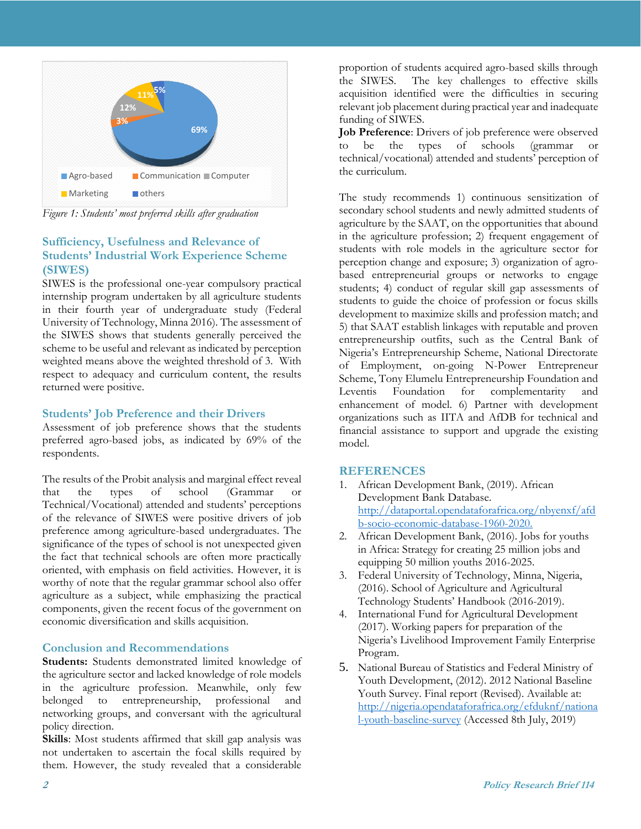

*Figure 1: Students' most preferred skills after graduation*

## **Sufficiency, Usefulness and Relevance of Students' Industrial Work Experience Scheme (SIWES)**

SIWES is the professional one-year compulsory practical internship program undertaken by all agriculture students in their fourth year of undergraduate study (Federal University of Technology, Minna 2016). The assessment of the SIWES shows that students generally perceived the scheme to be useful and relevant as indicated by perception weighted means above the weighted threshold of 3. With respect to adequacy and curriculum content, the results returned were positive.

## **Students' Job Preference and their Drivers**

Assessment of job preference shows that the students preferred agro-based jobs, as indicated by 69% of the respondents.

The results of the Probit analysis and marginal effect reveal that the types of school (Grammar or Technical/Vocational) attended and students' perceptions of the relevance of SIWES were positive drivers of job preference among agriculture-based undergraduates. The significance of the types of school is not unexpected given the fact that technical schools are often more practically oriented, with emphasis on field activities. However, it is worthy of note that the regular grammar school also offer agriculture as a subject, while emphasizing the practical components, given the recent focus of the government on economic diversification and skills acquisition.

## **Conclusion and Recommendations**

**Students:** Students demonstrated limited knowledge of the agriculture sector and lacked knowledge of role models in the agriculture profession. Meanwhile, only few belonged to entrepreneurship, professional and networking groups, and conversant with the agricultural policy direction.

**Skills**: Most students affirmed that skill gap analysis was not undertaken to ascertain the focal skills required by them. However, the study revealed that a considerable proportion of students acquired agro-based skills through the SIWES. The key challenges to effective skills acquisition identified were the difficulties in securing relevant job placement during practical year and inadequate funding of SIWES.

**Job Preference**: Drivers of job preference were observed to be the types of schools (grammar or technical/vocational) attended and students' perception of the curriculum.

The study recommends 1) continuous sensitization of secondary school students and newly admitted students of agriculture by the SAAT, on the opportunities that abound in the agriculture profession; 2) frequent engagement of students with role models in the agriculture sector for perception change and exposure; 3) organization of agrobased entrepreneurial groups or networks to engage students; 4) conduct of regular skill gap assessments of students to guide the choice of profession or focus skills development to maximize skills and profession match; and 5) that SAAT establish linkages with reputable and proven entrepreneurship outfits, such as the Central Bank of Nigeria's Entrepreneurship Scheme, National Directorate of Employment, on-going N-Power Entrepreneur Scheme, Tony Elumelu Entrepreneurship Foundation and Leventis Foundation for complementarity and enhancement of model. 6) Partner with development organizations such as IITA and AfDB for technical and financial assistance to support and upgrade the existing model.

#### **REFERENCES**

- 1. African Development Bank, (2019). African Development Bank Database. [http://dataportal.opendataforafrica.org/nbyenxf/afd](http://dataportal.opendataforafrica.org/nbyenxf/afdb-socio-economic-database-1960-2020) [b-socio-economic-database-1960-2020.](http://dataportal.opendataforafrica.org/nbyenxf/afdb-socio-economic-database-1960-2020)
- 2. African Development Bank, (2016). Jobs for youths in Africa: Strategy for creating 25 million jobs and equipping 50 million youths 2016-2025.
- 3. Federal University of Technology, Minna, Nigeria, (2016). School of Agriculture and Agricultural Technology Students' Handbook (2016-2019).
- 4. International Fund for Agricultural Development (2017). Working papers for preparation of the Nigeria's Livelihood Improvement Family Enterprise Program.
- 5. National Bureau of Statistics and Federal Ministry of Youth Development, (2012). 2012 National Baseline Youth Survey. Final report (Revised). Available at: [http://nigeria.opendataforafrica.org/efduknf/nationa](http://nigeria.opendataforafrica.org/efduknf/national-youth-baseline-survey) [l-youth-baseline-survey](http://nigeria.opendataforafrica.org/efduknf/national-youth-baseline-survey) (Accessed 8th July, 2019)